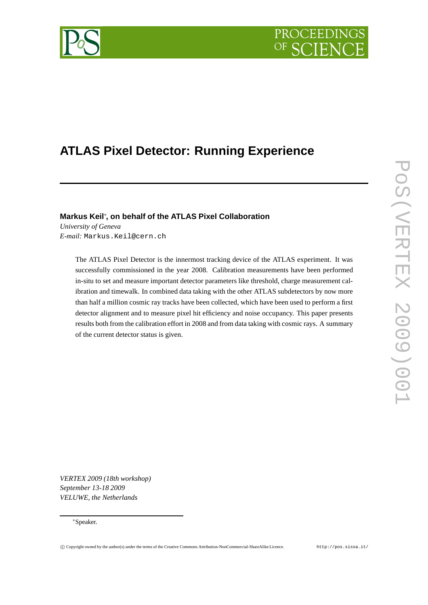# **PROCEEDING**



## **ATLAS Pixel Detector: Running Experience**

### **Markus Keil**<sup>∗</sup> **, on behalf of the ATLAS Pixel Collaboration**

*University of Geneva E-mail:* Markus.Keil@cern.ch

> The ATLAS Pixel Detector is the innermost tracking device of the ATLAS experiment. It was successfully commissioned in the year 2008. Calibration measurements have been performed in-situ to set and measure important detector parameters like threshold, charge measurement calibration and timewalk. In combined data taking with the other ATLAS subdetectors by now more than half a million cosmic ray tracks have been collected, which have been used to perform a first detector alignment and to measure pixel hit efficiency and noise occupancy. This paper presents results both from the calibration effort in 2008 and from data taking with cosmic rays. A summary of the current detector status is given.

*VERTEX 2009 (18th workshop) September 13-18 2009 VELUWE, the Netherlands*

#### <sup>∗</sup>Speaker.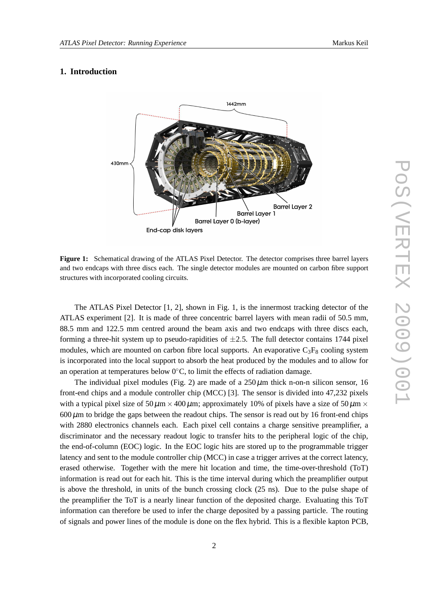#### **1. Introduction**



**Figure 1:** Schematical drawing of the ATLAS Pixel Detector. The detector comprises three barrel layers and two endcaps with three discs each. The single detector modules are mounted on carbon fibre support structures with incorporated cooling circuits.

The ATLAS Pixel Detector [1, 2], shown in Fig. 1, is the innermost tracking detector of the ATLAS experiment [2]. It is made of three concentric barrel layers with mean radii of 50.5 mm, 88.5 mm and 122.5 mm centred around the beam axis and two endcaps with three discs each, forming a three-hit system up to pseudo-rapidities of  $\pm 2.5$ . The full detector contains 1744 pixel modules, which are mounted on carbon fibre local supports. An evaporative  $C_3F_8$  cooling system is incorporated into the local support to absorb the heat produced by the modules and to allow for an operation at temperatures below 0∘C, to limit the effects of radiation damage.

The individual pixel modules (Fig. 2) are made of a  $250 \mu m$  thick n-on-n silicon sensor, 16 front-end chips and a module controller chip (MCC) [3]. The sensor is divided into 47,232 pixels with a typical pixel size of  $50\,\mu\text{m} \times 400\,\mu\text{m}$ ; approximately 10% of pixels have a size of  $50\,\mu\text{m} \times$  $600 \mu$ m to bridge the gaps between the readout chips. The sensor is read out by 16 front-end chips with 2880 electronics channels each. Each pixel cell contains a charge sensitive preamplifier, a discriminator and the necessary readout logic to transfer hits to the peripheral logic of the chip, the end-of-column (EOC) logic. In the EOC logic hits are stored up to the programmable trigger latency and sent to the module controller chip (MCC) in case a trigger arrives at the correct latency, erased otherwise. Together with the mere hit location and time, the time-over-threshold (ToT) information is read out for each hit. This is the time interval during which the preamplifier output is above the threshold, in units of the bunch crossing clock (25 ns). Due to the pulse shape of the preamplifier the ToT is a nearly linear function of the deposited charge. Evaluating this ToT information can therefore be used to infer the charge deposited by a passing particle. The routing of signals and power lines of the module is done on the flex hybrid. This is a flexible kapton PCB,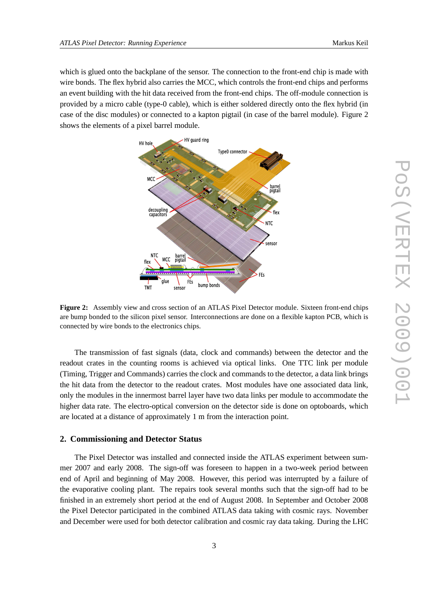which is glued onto the backplane of the sensor. The connection to the front-end chip is made with wire bonds. The flex hybrid also carries the MCC, which controls the front-end chips and performs an event building with the hit data received from the front-end chips. The off-module connection is provided by a micro cable (type-0 cable), which is either soldered directly onto the flex hybrid (in case of the disc modules) or connected to a kapton pigtail (in case of the barrel module). Figure 2 shows the elements of a pixel barrel module.



**Figure 2:** Assembly view and cross section of an ATLAS Pixel Detector module. Sixteen front-end chips are bump bonded to the silicon pixel sensor. Interconnections are done on a flexible kapton PCB, which is connected by wire bonds to the electronics chips.

The transmission of fast signals (data, clock and commands) between the detector and the readout crates in the counting rooms is achieved via optical links. One TTC link per module (Timing, Trigger and Commands) carries the clock and commands to the detector, a data link brings the hit data from the detector to the readout crates. Most modules have one associated data link, only the modules in the innermost barrel layer have two data links per module to accommodate the higher data rate. The electro-optical conversion on the detector side is done on optoboards, which are located at a distance of approximately 1 m from the interaction point.

#### **2. Commissioning and Detector Status**

The Pixel Detector was installed and connected inside the ATLAS experiment between summer 2007 and early 2008. The sign-off was foreseen to happen in a two-week period between end of April and beginning of May 2008. However, this period was interrupted by a failure of the evaporative cooling plant. The repairs took several months such that the sign-off had to be finished in an extremely short period at the end of August 2008. In September and October 2008 the Pixel Detector participated in the combined ATLAS data taking with cosmic rays. November and December were used for both detector calibration and cosmic ray data taking. During the LHC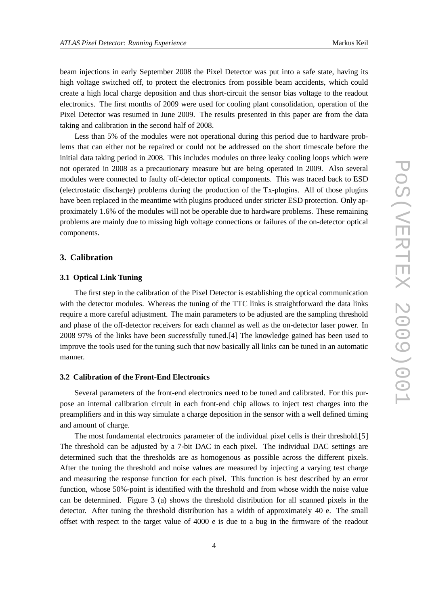beam injections in early September 2008 the Pixel Detector was put into a safe state, having its high voltage switched off, to protect the electronics from possible beam accidents, which could create a high local charge deposition and thus short-circuit the sensor bias voltage to the readout electronics. The first months of 2009 were used for cooling plant consolidation, operation of the Pixel Detector was resumed in June 2009. The results presented in this paper are from the data taking and calibration in the second half of 2008.

Less than 5% of the modules were not operational during this period due to hardware problems that can either not be repaired or could not be addressed on the short timescale before the initial data taking period in 2008. This includes modules on three leaky cooling loops which were not operated in 2008 as a precautionary measure but are being operated in 2009. Also several modules were connected to faulty off-detector optical components. This was traced back to ESD (electrostatic discharge) problems during the production of the Tx-plugins. All of those plugins have been replaced in the meantime with plugins produced under stricter ESD protection. Only approximately 1.6% of the modules will not be operable due to hardware problems. These remaining problems are mainly due to missing high voltage connections or failures of the on-detector optical components.

#### **3. Calibration**

#### **3.1 Optical Link Tuning**

The first step in the calibration of the Pixel Detector is establishing the optical communication with the detector modules. Whereas the tuning of the TTC links is straightforward the data links require a more careful adjustment. The main parameters to be adjusted are the sampling threshold and phase of the off-detector receivers for each channel as well as the on-detector laser power. In 2008 97% of the links have been successfully tuned.[4] The knowledge gained has been used to improve the tools used for the tuning such that now basically all links can be tuned in an automatic manner.

#### **3.2 Calibration of the Front-End Electronics**

Several parameters of the front-end electronics need to be tuned and calibrated. For this purpose an internal calibration circuit in each front-end chip allows to inject test charges into the preamplifiers and in this way simulate a charge deposition in the sensor with a well defined timing and amount of charge.

The most fundamental electronics parameter of the individual pixel cells is their threshold.[5] The threshold can be adjusted by a 7-bit DAC in each pixel. The individual DAC settings are determined such that the thresholds are as homogenous as possible across the different pixels. After the tuning the threshold and noise values are measured by injecting a varying test charge and measuring the response function for each pixel. This function is best described by an error function, whose 50%-point is identified with the threshold and from whose width the noise value can be determined. Figure 3 (a) shows the threshold distribution for all scanned pixels in the detector. After tuning the threshold distribution has a width of approximately 40 e. The small offset with respect to the target value of 4000 e is due to a bug in the firmware of the readout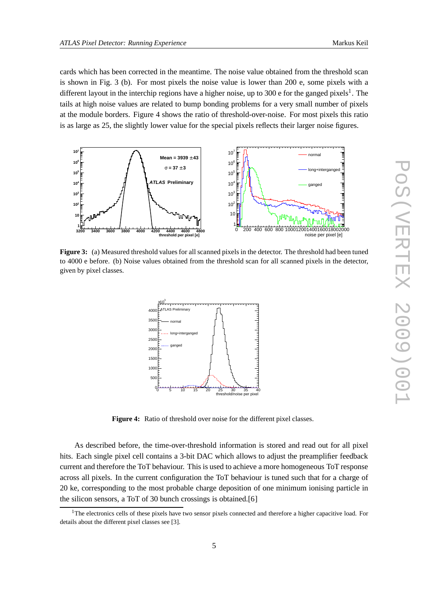cards which has been corrected in the meantime. The noise value obtained from the threshold scan is shown in Fig. 3 (b). For most pixels the noise value is lower than 200 e, some pixels with a different layout in the interchip regions have a higher noise, up to 300 e for the ganged pixels<sup>1</sup>. The tails at high noise values are related to bump bonding problems for a very small number of pixels at the module borders. Figure 4 shows the ratio of threshold-over-noise. For most pixels this ratio is as large as 25, the slightly lower value for the special pixels reflects their larger noise figures.



**Figure 3:** (a) Measured threshold values for all scanned pixels in the detector. The threshold had been tuned to 4000 e before. (b) Noise values obtained from the threshold scan for all scanned pixels in the detector, given by pixel classes.



Figure 4: Ratio of threshold over noise for the different pixel classes.

As described before, the time-over-threshold information is stored and read out for all pixel hits. Each single pixel cell contains a 3-bit DAC which allows to adjust the preamplifier feedback current and therefore the ToT behaviour. This is used to achieve a more homogeneous ToT response across all pixels. In the current configuration the ToT behaviour is tuned such that for a charge of 20 ke, corresponding to the most probable charge deposition of one minimum ionising particle in the silicon sensors, a ToT of 30 bunch crossings is obtained.[6]

<sup>&</sup>lt;sup>1</sup>The electronics cells of these pixels have two sensor pixels connected and therefore a higher capacitive load. For details about the different pixel classes see [3].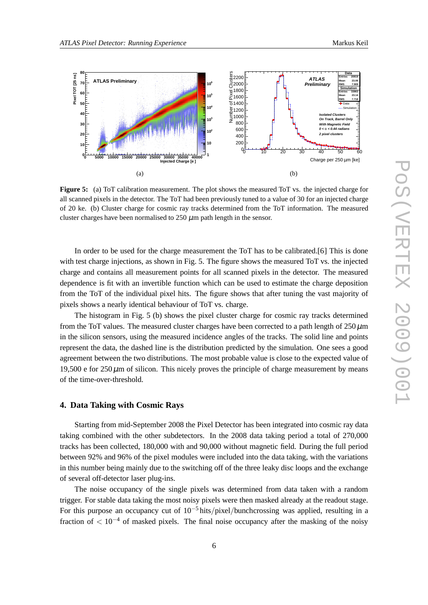

**Figure 5:** (a) ToT calibration measurement. The plot shows the measured ToT vs. the injected charge for all scanned pixels in the detector. The ToT had been previously tuned to a value of 30 for an injected charge of 20 ke. (b) Cluster charge for cosmic ray tracks determined from the ToT information. The measured cluster charges have been normalised to  $250 \mu m$  path length in the sensor.

In order to be used for the charge measurement the ToT has to be calibrated.[6] This is done with test charge injections, as shown in Fig. 5. The figure shows the measured ToT vs. the injected charge and contains all measurement points for all scanned pixels in the detector. The measured dependence is fit with an invertible function which can be used to estimate the charge deposition from the ToT of the individual pixel hits. The figure shows that after tuning the vast majority of pixels shows a nearly identical behaviour of ToT vs. charge.

The histogram in Fig. 5 (b) shows the pixel cluster charge for cosmic ray tracks determined from the ToT values. The measured cluster charges have been corrected to a path length of  $250 \,\mu m$ in the silicon sensors, using the measured incidence angles of the tracks. The solid line and points represent the data, the dashed line is the distribution predicted by the simulation. One sees a good agreement between the two distributions. The most probable value is close to the expected value of 19,500 e for  $250 \mu$ m of silicon. This nicely proves the principle of charge measurement by means of the time-over-threshold.

#### **4. Data Taking with Cosmic Rays**

Starting from mid-September 2008 the Pixel Detector has been integrated into cosmic ray data taking combined with the other subdetectors. In the 2008 data taking period a total of 270,000 tracks has been collected, 180,000 with and 90,000 without magnetic field. During the full period between 92% and 96% of the pixel modules were included into the data taking, with the variations in this number being mainly due to the switching off of the three leaky disc loops and the exchange of several off-detector laser plug-ins.

The noise occupancy of the single pixels was determined from data taken with a random trigger. For stable data taking the most noisy pixels were then masked already at the readout stage. For this purpose an occupancy cut of  $10^{-5}$  hits/pixel/bunchcrossing was applied, resulting in a fraction of  $\lt 10^{-4}$  of masked pixels. The final noise occupancy after the masking of the noisy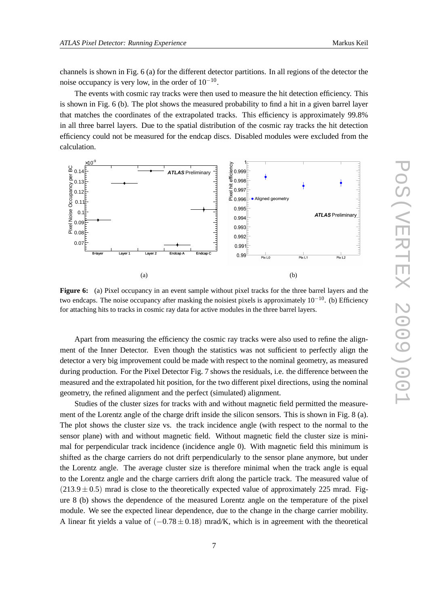channels is shown in Fig. 6 (a) for the different detector partitions. In all regions of the detector the noise occupancy is very low, in the order of  $10^{-10}$ .

The events with cosmic ray tracks were then used to measure the hit detection efficiency. This is shown in Fig. 6 (b). The plot shows the measured probability to find a hit in a given barrel layer that matches the coordinates of the extrapolated tracks. This efficiency is approximately 99.8% in all three barrel layers. Due to the spatial distribution of the cosmic ray tracks the hit detection efficiency could not be measured for the endcap discs. Disabled modules were excluded from the calculation.



**Figure 6:** (a) Pixel occupancy in an event sample without pixel tracks for the three barrel layers and the two endcaps. The noise occupancy after masking the noisiest pixels is approximately  $10^{-10}$ . (b) Efficiency for attaching hits to tracks in cosmic ray data for active modules in the three barrel layers.

Apart from measuring the efficiency the cosmic ray tracks were also used to refine the alignment of the Inner Detector. Even though the statistics was not sufficient to perfectly align the detector a very big improvement could be made with respect to the nominal geometry, as measured during production. For the Pixel Detector Fig. 7 shows the residuals, i.e. the difference between the measured and the extrapolated hit position, for the two different pixel directions, using the nominal geometry, the refined alignment and the perfect (simulated) alignment.

Studies of the cluster sizes for tracks with and without magnetic field permitted the measurement of the Lorentz angle of the charge drift inside the silicon sensors. This is shown in Fig. 8 (a). The plot shows the cluster size vs. the track incidence angle (with respect to the normal to the sensor plane) with and without magnetic field. Without magnetic field the cluster size is minimal for perpendicular track incidence (incidence angle 0). With magnetic field this minimum is shifted as the charge carriers do not drift perpendicularly to the sensor plane anymore, but under the Lorentz angle. The average cluster size is therefore minimal when the track angle is equal to the Lorentz angle and the charge carriers drift along the particle track. The measured value of  $(213.9 \pm 0.5)$  mrad is close to the theoretically expected value of approximately 225 mrad. Figure 8 (b) shows the dependence of the measured Lorentz angle on the temperature of the pixel module. We see the expected linear dependence, due to the change in the charge carrier mobility. A linear fit yields a value of  $(-0.78 \pm 0.18)$  mrad/K, which is in agreement with the theoretical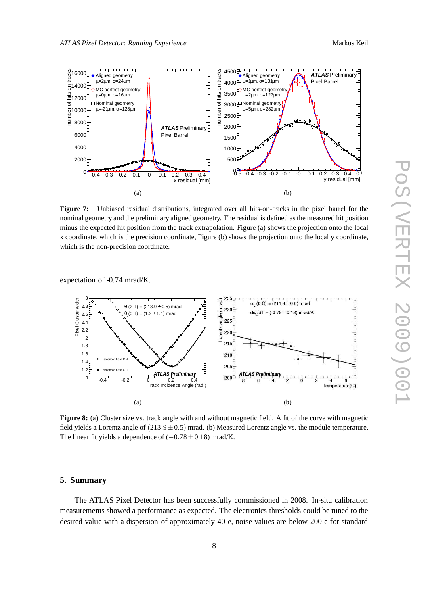

**Figure 7:** Unbiased residual distributions, integrated over all hits-on-tracks in the pixel barrel for the nominal geometry and the preliminary aligned geometry. The residual is defined as the measured hit position minus the expected hit position from the track extrapolation. Figure (a) shows the projection onto the local x coordinate, which is the precision coordinate, Figure (b) shows the projection onto the local y coordinate, which is the non-precision coordinate.

expectation of -0.74 mrad/K.



**Figure 8:** (a) Cluster size vs. track angle with and without magnetic field. A fit of the curve with magnetic field yields a Lorentz angle of  $(213.9 \pm 0.5)$  mrad. (b) Measured Lorentz angle vs. the module temperature. The linear fit yields a dependence of  $(-0.78 \pm 0.18)$  mrad/K.

#### **5. Summary**

The ATLAS Pixel Detector has been successfully commissioned in 2008. In-situ calibration measurements showed a performance as expected. The electronics thresholds could be tuned to the desired value with a dispersion of approximately 40 e, noise values are below 200 e for standard